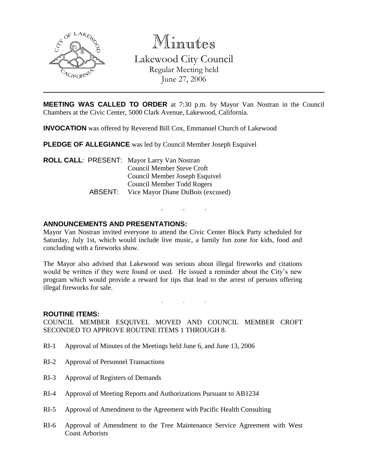

Minutes

Lakewood City Council Regular Meeting held June 27, 2006

**MEETING WAS CALLED TO ORDER** at 7:30 p.m. by Mayor Van Nostran in the Council Chambers at the Civic Center, 5000 Clark Avenue, Lakewood, California.

**INVOCATION** was offered by Reverend Bill Cox, Emmanuel Church of Lakewood

**PLEDGE OF ALLEGIANCE** was led by Council Member Joseph Esquivel

**ROLL CALL**: PRESENT: Mayor Larry Van Nostran Council Member Steve Croft Council Member Joseph Esquivel Council Member Todd Rogers ABSENT: Vice Mayor Diane DuBois (excused)

## **ANNOUNCEMENTS AND PRESENTATIONS:**

Mayor Van Nostran invited everyone to attend the Civic Center Block Party scheduled for Saturday, July 1st, which would include live music, a family fun zone for kids, food and concluding with a fireworks show.

. . .

The Mayor also advised that Lakewood was serious about illegal fireworks and citations would be written if they were found or used. He issued a reminder about the City's new program which would provide a reward for tips that lead to the arrest of persons offering illegal fireworks for sale.

. . .

#### **ROUTINE ITEMS:**

COUNCIL MEMBER ESQUIVEL MOVED AND COUNCIL MEMBER CROFT SECONDED TO APPROVE ROUTINE ITEMS 1 THROUGH 8.

- RI-1 Approval of Minutes of the Meetings held June 6, and June 13, 2006
- RI-2 Approval of Personnel Transactions
- RI-3 Approval of Registers of Demands
- RI-4 Approval of Meeting Reports and Authorizations Pursuant to AB1234
- RI-5 Approval of Amendment to the Agreement with Pacific Health Consulting
- RI-6 Approval of Amendment to the Tree Maintenance Service Agreement with West Coast Arborists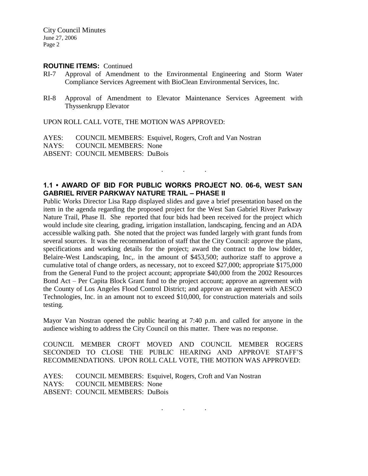City Council Minutes June 27, 2006 Page 2

#### **ROUTINE ITEMS:** Continued

- RI-7 Approval of Amendment to the Environmental Engineering and Storm Water Compliance Services Agreement with BioClean Environmental Services, Inc.
- RI-8 Approval of Amendment to Elevator Maintenance Services Agreement with Thyssenkrupp Elevator

UPON ROLL CALL VOTE, THE MOTION WAS APPROVED:

AYES: COUNCIL MEMBERS: Esquivel, Rogers, Croft and Van Nostran

NAYS: COUNCIL MEMBERS: None

ABSENT: COUNCIL MEMBERS: DuBois

# **1.1 • AWARD OF BID FOR PUBLIC WORKS PROJECT NO. 06-6, WEST SAN GABRIEL RIVER PARKWAY NATURE TRAIL – PHASE II**

. . .

Public Works Director Lisa Rapp displayed slides and gave a brief presentation based on the item in the agenda regarding the proposed project for the West San Gabriel River Parkway Nature Trail, Phase II. She reported that four bids had been received for the project which would include site clearing, grading, irrigation installation, landscaping, fencing and an ADA accessible walking path. She noted that the project was funded largely with grant funds from several sources. It was the recommendation of staff that the City Council: approve the plans, specifications and working details for the project; award the contract to the low bidder, Belaire-West Landscaping, Inc,. in the amount of \$453,500; authorize staff to approve a cumulative total of change orders, as necessary, not to exceed \$27,000; appropriate \$175,000 from the General Fund to the project account; appropriate \$40,000 from the 2002 Resources Bond Act – Per Capita Block Grant fund to the project account; approve an agreement with the County of Los Angeles Flood Control District; and approve an agreement with AESCO Technologies, Inc. in an amount not to exceed \$10,000, for construction materials and soils testing.

Mayor Van Nostran opened the public hearing at 7:40 p.m. and called for anyone in the audience wishing to address the City Council on this matter. There was no response.

COUNCIL MEMBER CROFT MOVED AND COUNCIL MEMBER ROGERS SECONDED TO CLOSE THE PUBLIC HEARING AND APPROVE STAFF'S RECOMMENDATIONS. UPON ROLL CALL VOTE, THE MOTION WAS APPROVED:

. . .

AYES: COUNCIL MEMBERS: Esquivel, Rogers, Croft and Van Nostran NAYS: COUNCIL MEMBERS: None ABSENT: COUNCIL MEMBERS: DuBois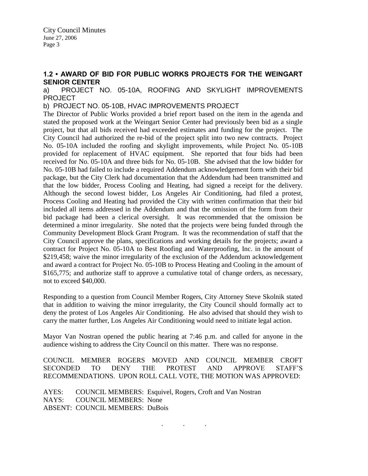## **1.2 • AWARD OF BID FOR PUBLIC WORKS PROJECTS FOR THE WEINGART SENIOR CENTER**

a) PROJECT NO. 05-10A, ROOFING AND SKYLIGHT IMPROVEMENTS PROJECT

b) PROJECT NO. 05-10B, HVAC IMPROVEMENTS PROJECT

The Director of Public Works provided a brief report based on the item in the agenda and stated the proposed work at the Weingart Senior Center had previously been bid as a single project, but that all bids received had exceeded estimates and funding for the project. The City Council had authorized the re-bid of the project split into two new contracts. Project No. 05-10A included the roofing and skylight improvements, while Project No. 05-10B provided for replacement of HVAC equipment. She reported that four bids had been received for No. 05-10A and three bids for No. 05-10B. She advised that the low bidder for No. 05-10B had failed to include a required Addendum acknowledgement form with their bid package, but the City Clerk had documentation that the Addendum had been transmitted and that the low bidder, Process Cooling and Heating, had signed a receipt for the delivery. Although the second lowest bidder, Los Angeles Air Conditioning, had filed a protest, Process Cooling and Heating had provided the City with written confirmation that their bid included all items addressed in the Addendum and that the omission of the form from their bid package had been a clerical oversight. It was recommended that the omission be determined a minor irregularity. She noted that the projects were being funded through the Community Development Block Grant Program. It was the recommendation of staff that the City Council approve the plans, specifications and working details for the projects; award a contract for Project No. 05-10A to Best Roofing and Waterproofing, Inc. in the amount of \$219,458; waive the minor irregularity of the exclusion of the Addendum acknowledgement and award a contract for Project No. 05-10B to Process Heating and Cooling in the amount of \$165,775; and authorize staff to approve a cumulative total of change orders, as necessary, not to exceed \$40,000.

Responding to a question from Council Member Rogers, City Attorney Steve Skolnik stated that in addition to waiving the minor irregularity, the City Council should formally act to deny the protest of Los Angeles Air Conditioning. He also advised that should they wish to carry the matter further, Los Angeles Air Conditioning would need to initiate legal action.

Mayor Van Nostran opened the public hearing at 7:46 p.m. and called for anyone in the audience wishing to address the City Council on this matter. There was no response.

COUNCIL MEMBER ROGERS MOVED AND COUNCIL MEMBER CROFT SECONDED TO DENY THE PROTEST AND APPROVE STAFF'S RECOMMENDATIONS. UPON ROLL CALL VOTE, THE MOTION WAS APPROVED:

. . .

AYES: COUNCIL MEMBERS: Esquivel, Rogers, Croft and Van Nostran NAYS: COUNCIL MEMBERS: None ABSENT: COUNCIL MEMBERS: DuBois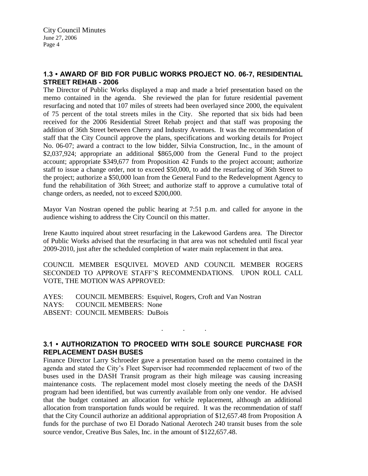# **1.3 • AWARD OF BID FOR PUBLIC WORKS PROJECT NO. 06-7, RESIDENTIAL STREET REHAB - 2006**

The Director of Public Works displayed a map and made a brief presentation based on the memo contained in the agenda. She reviewed the plan for future residential pavement resurfacing and noted that 107 miles of streets had been overlayed since 2000, the equivalent of 75 percent of the total streets miles in the City. She reported that six bids had been received for the 2006 Residential Street Rehab project and that staff was proposing the addition of 36th Street between Cherry and Industry Avenues. It was the recommendation of staff that the City Council approve the plans, specifications and working details for Project No. 06-07; award a contract to the low bidder, Silvia Construction, Inc., in the amount of \$2,037,924; appropriate an additional \$865,000 from the General Fund to the project account; appropriate \$349,677 from Proposition 42 Funds to the project account; authorize staff to issue a change order, not to exceed \$50,000, to add the resurfacing of 36th Street to the project; authorize a \$50,000 loan from the General Fund to the Redevelopment Agency to fund the rehabilitation of 36th Street; and authorize staff to approve a cumulative total of change orders, as needed, not to exceed \$200,000.

Mayor Van Nostran opened the public hearing at 7:51 p.m. and called for anyone in the audience wishing to address the City Council on this matter.

Irene Kautto inquired about street resurfacing in the Lakewood Gardens area. The Director of Public Works advised that the resurfacing in that area was not scheduled until fiscal year 2009-2010, just after the scheduled completion of water main replacement in that area.

COUNCIL MEMBER ESQUIVEL MOVED AND COUNCIL MEMBER ROGERS SECONDED TO APPROVE STAFF'S RECOMMENDATIONS. UPON ROLL CALL VOTE, THE MOTION WAS APPROVED:

AYES: COUNCIL MEMBERS: Esquivel, Rogers, Croft and Van Nostran NAYS: COUNCIL MEMBERS: None ABSENT: COUNCIL MEMBERS: DuBois

# **3.1 • AUTHORIZATION TO PROCEED WITH SOLE SOURCE PURCHASE FOR REPLACEMENT DASH BUSES**

. . .

Finance Director Larry Schroeder gave a presentation based on the memo contained in the agenda and stated the City's Fleet Supervisor had recommended replacement of two of the buses used in the DASH Transit program as their high mileage was causing increasing maintenance costs. The replacement model most closely meeting the needs of the DASH program had been identified, but was currently available from only one vendor. He advised that the budget contained an allocation for vehicle replacement, although an additional allocation from transportation funds would be required. It was the recommendation of staff that the City Council authorize an additional appropriation of \$12,657.48 from Proposition A funds for the purchase of two El Dorado National Aerotech 240 transit buses from the sole source vendor, Creative Bus Sales, Inc. in the amount of \$122,657.48.